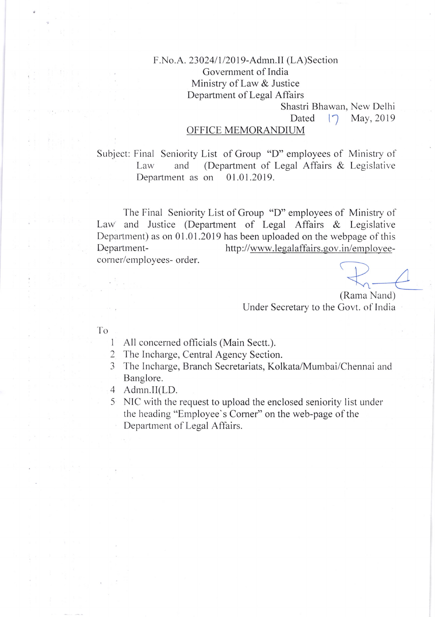## F.No.A. 23024/1/2019-Admn.II (LA)Section Government of India Ministry of Law & Justice Department of Legal Affairs

Shastri Bhawan, New Delhi

Dated  $\sqrt{7}$  May, 2019

## OFFICE MEMORANDIUM

Subject: Final Seniority List of Group "D" employees of Ministry of Law and (Department of Legal Affairs & Legislative Department as on 01.01.2019.

The Final Seniority List of Group "D" employees of Ministry of Law and Justice (Department of Legal Affairs  $\&$  Legislative Department) as on 01.01.2019 has been uploaded on the webpage of this Departmentcorner/employees- order. http://www.legalaffairs.gov.in/employee-

(Rarna Nand) Under Secretary to the Covt. of India

-fo

- I All concerned officials (Main Sectt.).
- 2 The Incharge, Central Agency Section.
- 3 The Incharge, Branch Secretariats, Kolkata/Murnbai/Chennai and Banglore.
- 4 Admn.II(LD.
- 5 NIC with the request to upload the enclosed seniority list under the heading "Employee's Comer" on the web-page of the Department of Legal Affairs.